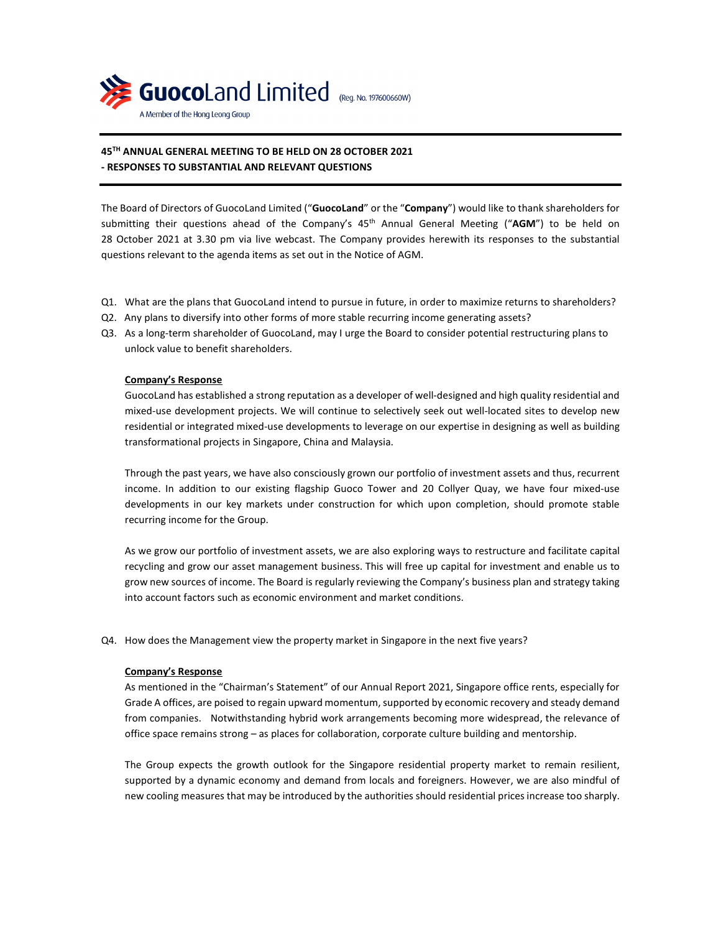

# **45TH ANNUAL GENERAL MEETING TO BE HELD ON 28 OCTOBER 2021 - RESPONSES TO SUBSTANTIAL AND RELEVANT QUESTIONS**

The Board of Directors of GuocoLand Limited ("**GuocoLand**" or the "**Company**") would like to thank shareholders for submitting their questions ahead of the Company's 45<sup>th</sup> Annual General Meeting ("AGM") to be held on 28 October 2021 at 3.30 pm via live webcast. The Company provides herewith its responses to the substantial questions relevant to the agenda items as set out in the Notice of AGM.

- Q1. What are the plans that GuocoLand intend to pursue in future, in order to maximize returns to shareholders?
- Q2. Any plans to diversify into other forms of more stable recurring income generating assets?
- Q3. As a long-term shareholder of GuocoLand, may I urge the Board to consider potential restructuring plans to unlock value to benefit shareholders.

### **Company's Response**

GuocoLand has established a strong reputation as a developer of well-designed and high quality residential and mixed-use development projects. We will continue to selectively seek out well-located sites to develop new residential or integrated mixed-use developments to leverage on our expertise in designing as well as building transformational projects in Singapore, China and Malaysia.

Through the past years, we have also consciously grown our portfolio of investment assets and thus, recurrent income. In addition to our existing flagship Guoco Tower and 20 Collyer Quay, we have four mixed-use developments in our key markets under construction for which upon completion, should promote stable recurring income for the Group.

As we grow our portfolio of investment assets, we are also exploring ways to restructure and facilitate capital recycling and grow our asset management business. This will free up capital for investment and enable us to grow new sources of income. The Board is regularly reviewing the Company's business plan and strategy taking into account factors such as economic environment and market conditions.

Q4. How does the Management view the property market in Singapore in the next five years?

#### **Company's Response**

As mentioned in the "Chairman's Statement" of our Annual Report 2021, Singapore office rents, especially for Grade A offices, are poised to regain upward momentum, supported by economic recovery and steady demand from companies. Notwithstanding hybrid work arrangements becoming more widespread, the relevance of office space remains strong – as places for collaboration, corporate culture building and mentorship.

The Group expects the growth outlook for the Singapore residential property market to remain resilient, supported by a dynamic economy and demand from locals and foreigners. However, we are also mindful of new cooling measures that may be introduced by the authorities should residential prices increase too sharply.